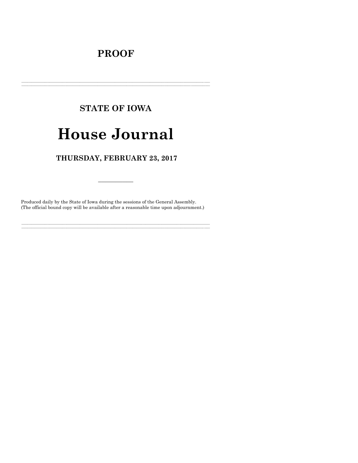## **PROOF**

# **STATE OF IOWA**

# **House Journal**

## THURSDAY, FEBRUARY 23, 2017

Produced daily by the State of Iowa during the sessions of the General Assembly. (The official bound copy will be available after a reasonable time upon adjournment.)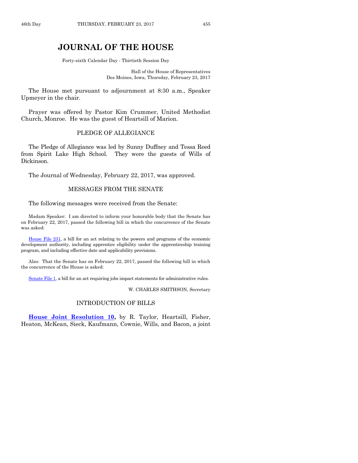### **JOURNAL OF THE HOUSE**

Forty-sixth Calendar Day - Thirtieth Session Day

Hall of the House of Representatives Des Moines, Iowa, Thursday, February 23, 2017

The House met pursuant to adjournment at 8:30 a.m., Speaker Upmeyer in the chair.

Prayer was offered by Pastor Kim Crummer, United Methodist Church, Monroe. He was the guest of Heartsill of Marion.

#### PLEDGE OF ALLEGIANCE

The Pledge of Allegiance was led by Sunny Duffney and Tessa Reed from Spirit Lake High School. They were the guests of Wills of Dickinson.

The Journal of Wednesday, February 22, 2017, was approved.

#### MESSAGES FROM THE SENATE

The following messages were received from the Senate:

Madam Speaker: I am directed to inform your honorable body that the Senate has on February 22, 2017, passed the following bill in which the concurrence of the Senate was asked:

[House File 231,](https://www.legis.iowa.gov/legislation/BillBook?ga=87&ba=HF231) a bill for an act relating to the powers and programs of the economic development authority, including apprentice eligibility under the apprenticeship training program, and including effective date and applicability provisions.

Also: That the Senate has on February 22, 2017, passed the following bill in which the concurrence of the House is asked:

[Senate File 1,](https://www.legis.iowa.gov/legislation/BillBook?ga=87&ba=SF1) a bill for an act requiring jobs impact statements for administrative rules.

W. CHARLES SMITHSON, Secretary

#### INTRODUCTION OF BILLS

**[House Joint Resolution 10,](https://www.legis.iowa.gov/legislation/BillBook?ga=87&ba=HJR10)** by R. Taylor, Heartsill, Fisher, Heaton, McKean, Sieck, Kaufmann, Cownie, Wills, and Bacon, a joint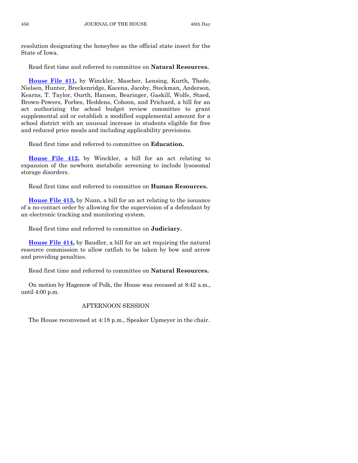resolution designating the honeybee as the official state insect for the State of Iowa.

Read first time and referred to committee on **Natural Resources.**

**[House File 411,](https://www.legis.iowa.gov/legislation/BillBook?ga=87&ba=HF411)** by Winckler, Mascher, Lensing, Kurth, Thede, Nielsen, Hunter, Breckenridge, Kacena, Jacoby, Steckman, Anderson, Kearns, T. Taylor, Ourth, Hanson, Bearinger, Gaskill, Wolfe, Staed, Brown-Powers, Forbes, Heddens, Cohoon, and Prichard, a bill for an act authorizing the school budget review committee to grant supplemental aid or establish a modified supplemental amount for a school district with an unusual increase in students eligible for free and reduced price meals and including applicability provisions.

Read first time and referred to committee on **Education.**

**[House File 412,](https://www.legis.iowa.gov/legislation/BillBook?ga=87&ba=HF412)** by Winckler, a bill for an act relating to expansion of the newborn metabolic screening to include lysosomal storage disorders.

Read first time and referred to committee on **Human Resources.**

**[House File 413,](https://www.legis.iowa.gov/legislation/BillBook?ga=87&ba=HF413)** by Nunn, a bill for an act relating to the issuance of a no-contact order by allowing for the supervision of a defendant by an electronic tracking and monitoring system.

Read first time and referred to committee on **Judiciary.**

**[House File 414,](https://www.legis.iowa.gov/legislation/BillBook?ga=87&ba=HF414)** by Baudler, a bill for an act requiring the natural resource commission to allow catfish to be taken by bow and arrow and providing penalties.

Read first time and referred to committee on **Natural Resources.**

On motion by Hagenow of Polk, the House was recessed at 8:42 a.m., until 4:00 p.m.

#### AFTERNOON SESSION

The House reconvened at 4:18 p.m., Speaker Upmeyer in the chair.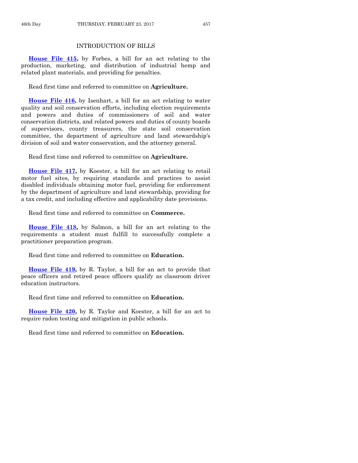#### INTRODUCTION OF BILLS

**[House File 415,](https://www.legis.iowa.gov/legislation/BillBook?ga=87&ba=HF415)** by Forbes, a bill for an act relating to the production, marketing, and distribution of industrial hemp and related plant materials, and providing for penalties.

Read first time and referred to committee on **Agriculture.**

**[House File 416,](https://www.legis.iowa.gov/legislation/BillBook?ga=87&ba=HF416)** by Isenhart, a bill for an act relating to water quality and soil conservation efforts, including election requirements and powers and duties of commissioners of soil and water conservation districts, and related powers and duties of county boards of supervisors, county treasurers, the state soil conservation committee, the department of agriculture and land stewardship's division of soil and water conservation, and the attorney general.

Read first time and referred to committee on **Agriculture.**

**[House File 417,](https://www.legis.iowa.gov/legislation/BillBook?ga=87&ba=HF417)** by Koester, a bill for an act relating to retail motor fuel sites, by requiring standards and practices to assist disabled individuals obtaining motor fuel, providing for enforcement by the department of agriculture and land stewardship, providing for a tax credit, and including effective and applicability date provisions.

Read first time and referred to committee on **Commerce.**

**[House File 418,](https://www.legis.iowa.gov/legislation/BillBook?ga=87&ba=HF418)** by Salmon, a bill for an act relating to the requirements a student must fulfill to successfully complete a practitioner preparation program.

Read first time and referred to committee on **Education.**

**[House File 419,](https://www.legis.iowa.gov/legislation/BillBook?ga=87&ba=HF419)** by R. Taylor, a bill for an act to provide that peace officers and retired peace officers qualify as classroom driver education instructors.

Read first time and referred to committee on **Education.**

**[House File 420,](https://www.legis.iowa.gov/legislation/BillBook?ga=87&ba=HF420)** by R. Taylor and Koester, a bill for an act to require radon testing and mitigation in public schools.

Read first time and referred to committee on **Education.**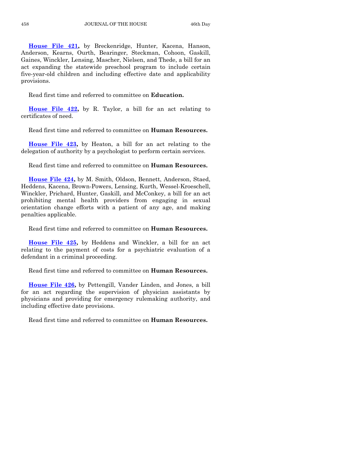**[House File 421,](https://www.legis.iowa.gov/legislation/BillBook?ga=87&ba=HF421)** by Breckenridge, Hunter, Kacena, Hanson, Anderson, Kearns, Ourth, Bearinger, Steckman, Cohoon, Gaskill, Gaines, Winckler, Lensing, Mascher, Nielsen, and Thede, a bill for an act expanding the statewide preschool program to include certain five-year-old children and including effective date and applicability provisions.

Read first time and referred to committee on **Education.**

**[House File 422,](https://www.legis.iowa.gov/legislation/BillBook?ga=87&ba=HF422)** by R. Taylor, a bill for an act relating to certificates of need.

Read first time and referred to committee on **Human Resources.**

**[House File 423,](https://www.legis.iowa.gov/legislation/BillBook?ga=87&ba=HF423)** by Heaton, a bill for an act relating to the delegation of authority by a psychologist to perform certain services.

Read first time and referred to committee on **Human Resources.**

**[House File 424,](https://www.legis.iowa.gov/legislation/BillBook?ga=87&ba=HF424)** by M. Smith, Oldson, Bennett, Anderson, Staed, Heddens, Kacena, Brown-Powers, Lensing, Kurth, Wessel-Kroeschell, Winckler, Prichard, Hunter, Gaskill, and McConkey, a bill for an act prohibiting mental health providers from engaging in sexual orientation change efforts with a patient of any age, and making penalties applicable.

Read first time and referred to committee on **Human Resources.**

**[House File 425,](https://www.legis.iowa.gov/legislation/BillBook?ga=87&ba=HF425)** by Heddens and Winckler, a bill for an act relating to the payment of costs for a psychiatric evaluation of a defendant in a criminal proceeding.

Read first time and referred to committee on **Human Resources.**

**[House File 426,](https://www.legis.iowa.gov/legislation/BillBook?ga=87&ba=HF426)** by Pettengill, Vander Linden, and Jones, a bill for an act regarding the supervision of physician assistants by physicians and providing for emergency rulemaking authority, and including effective date provisions.

Read first time and referred to committee on **Human Resources.**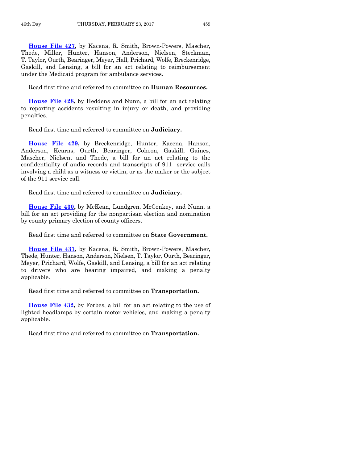**[House File 427,](https://www.legis.iowa.gov/legislation/BillBook?ga=87&ba=HF427)** by Kacena, R. Smith, Brown-Powers, Mascher, Thede, Miller, Hunter, Hanson, Anderson, Nielsen, Steckman, T. Taylor, Ourth, Bearinger, Meyer, Hall, Prichard, Wolfe, Breckenridge, Gaskill, and Lensing, a bill for an act relating to reimbursement under the Medicaid program for ambulance services.

Read first time and referred to committee on **Human Resources.**

**[House File 428,](https://www.legis.iowa.gov/legislation/BillBook?ga=87&ba=HF428)** by Heddens and Nunn, a bill for an act relating to reporting accidents resulting in injury or death, and providing penalties.

Read first time and referred to committee on **Judiciary.**

**[House File 429,](https://www.legis.iowa.gov/legislation/BillBook?ga=87&ba=HF429)** by Breckenridge, Hunter, Kacena, Hanson, Anderson, Kearns, Ourth, Bearinger, Cohoon, Gaskill, Gaines, Mascher, Nielsen, and Thede, a bill for an act relating to the confidentiality of audio records and transcripts of 911 service calls involving a child as a witness or victim, or as the maker or the subject of the 911 service call.

Read first time and referred to committee on **Judiciary.**

**[House File 430,](https://www.legis.iowa.gov/legislation/BillBook?ga=87&ba=HF430)** by McKean, Lundgren, McConkey, and Nunn, a bill for an act providing for the nonpartisan election and nomination by county primary election of county officers.

Read first time and referred to committee on **State Government.**

**[House File 431,](https://www.legis.iowa.gov/legislation/BillBook?ga=87&ba=HF431)** by Kacena, R. Smith, Brown-Powers, Mascher, Thede, Hunter, Hanson, Anderson, Nielsen, T. Taylor, Ourth, Bearinger, Meyer, Prichard, Wolfe, Gaskill, and Lensing, a bill for an act relating to drivers who are hearing impaired, and making a penalty applicable.

Read first time and referred to committee on **Transportation.**

**[House File 432,](https://www.legis.iowa.gov/legislation/BillBook?ga=87&ba=HF432)** by Forbes, a bill for an act relating to the use of lighted headlamps by certain motor vehicles, and making a penalty applicable.

Read first time and referred to committee on **Transportation.**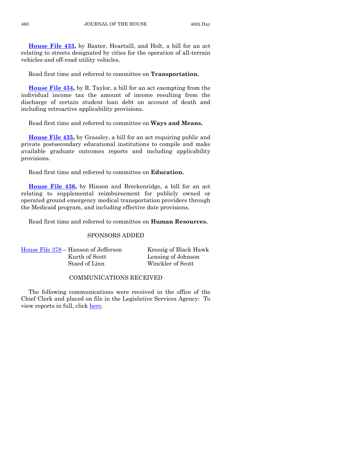**[House File 433,](https://www.legis.iowa.gov/legislation/BillBook?ga=87&ba=HF433)** by Baxter, Heartsill, and Holt, a bill for an act relating to streets designated by cities for the operation of all-terrain vehicles and off-road utility vehicles.

Read first time and referred to committee on **Transportation.**

**[House File 434,](https://www.legis.iowa.gov/legislation/BillBook?ga=87&ba=HF434)** by R. Taylor, a bill for an act exempting from the individual income tax the amount of income resulting from the discharge of certain student loan debt on account of death and including retroactive applicability provisions.

Read first time and referred to committee on **Ways and Means.**

**[House File 435,](https://www.legis.iowa.gov/legislation/BillBook?ga=87&ba=HF435)** by Grassley, a bill for an act requiring public and private postsecondary educational institutions to compile and make available graduate outcomes reports and including applicability provisions.

Read first time and referred to committee on **Education.**

**[House File 436,](https://www.legis.iowa.gov/legislation/BillBook?ga=87&ba=HF436)** by Hinson and Breckenridge, a bill for an act relating to supplemental reimbursement for publicly owned or operated ground emergency medical transportation providers through the Medicaid program, and including effective date provisions.

Read first time and referred to committee on **Human Resources.**

#### SPONSORS ADDED

|                | Kressig of Black Hawk |
|----------------|-----------------------|
| Kurth of Scott | Lensing of Johnson    |
| Staed of Linn  | Winckler of Scott     |
|                |                       |

#### COMMUNICATIONS RECEIVED

The following communications were received in the office of the Chief Clerk and placed on file in the Legislative Services Agency: To view reports in full, click [here.](https://www.legis.iowa.gov/publications/otherResources/reportsFiled)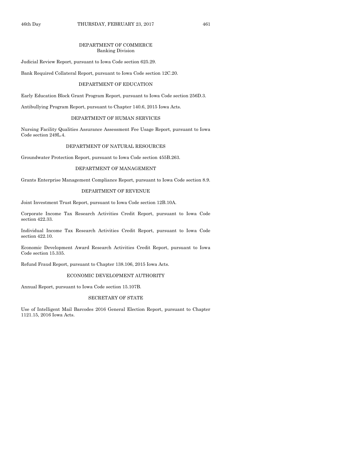#### DEPARTMENT OF COMMERCE Banking Division

Judicial Review Report, pursuant to Iowa Code section 625.29.

Bank Required Collateral Report, pursuant to Iowa Code section 12C.20.

#### DEPARTMENT OF EDUCATION

Early Education Block Grant Program Report, pursuant to Iowa Code section 256D.3.

Antibullying Program Report, pursuant to Chapter 140.6, 2015 Iowa Acts.

#### DEPARTMENT OF HUMAN SERVICES

Nursing Facility Qualities Assurance Assessment Fee Usage Report, pursuant to Iowa Code section 249L.4.

#### DEPARTMENT OF NATURAL RESOURCES

Groundwater Protection Report, pursuant to Iowa Code section 455B.263.

#### DEPARTMENT OF MANAGEMENT

Grants Enterprise Management Compliance Report, pursuant to Iowa Code section 8.9.

#### DEPARTMENT OF REVENUE

Joint Investment Trust Report, pursuant to Iowa Code section 12B.10A.

Corporate Income Tax Research Activities Credit Report, pursuant to Iowa Code section 422.33.

Individual Income Tax Research Activities Credit Report, pursuant to Iowa Code section 422.10.

Economic Development Award Research Activities Credit Report, pursuant to Iowa Code section 15.335.

Refund Fraud Report, pursuant to Chapter 138.106, 2015 Iowa Acts.

#### ECONOMIC DEVELOPMENT AUTHORITY

Annual Report, pursuant to Iowa Code section 15.107B.

#### SECRETARY OF STATE

Use of Intelligent Mail Barcodes 2016 General Election Report, pursuant to Chapter 1121.15, 2016 Iowa Acts.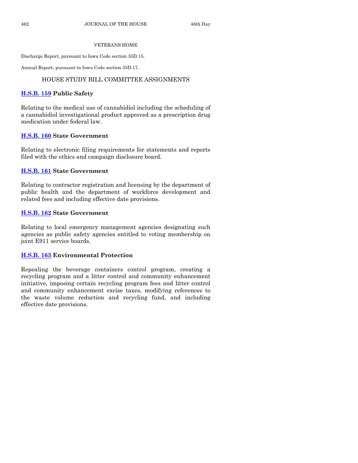#### VETERANS HOME

Discharge Report, pursuant to Iowa Code section 35D.15.

Annual Report, pursuant to Iowa Code section 35D.17.

#### HOUSE STUDY BILL COMMITTEE ASSIGNMENTS

#### **[H.S.B. 159](https://www.legis.iowa.gov/legislation/BillBook?ga=87&ba=HSB159) Public Safety**

Relating to the medical use of cannabidiol including the scheduling of a cannabidiol investigational product approved as a prescription drug medication under federal law.

#### **[H.S.B. 160](https://www.legis.iowa.gov/legislation/BillBook?ga=87&ba=HSB160) State Government**

Relating to electronic filing requirements for statements and reports filed with the ethics and campaign disclosure board.

#### **[H.S.B. 161](https://www.legis.iowa.gov/legislation/BillBook?ga=87&ba=HSB161) State Government**

Relating to contractor registration and licensing by the department of public health and the department of workforce development and related fees and including effective date provisions.

#### **[H.S.B. 162](https://www.legis.iowa.gov/legislation/BillBook?ga=87&ba=HSB162) State Government**

Relating to local emergency management agencies designating such agencies as public safety agencies entitled to voting membership on joint E911 service boards.

#### **[H.S.B. 163](https://www.legis.iowa.gov/legislation/BillBook?ga=87&ba=HSB163) Environmental Protection**

Repealing the beverage containers control program, creating a recycling program and a litter control and community enhancement initiative, imposing certain recycling program fees and litter control and community enhancement excise taxes, modifying references to the waste volume reduction and recycling fund, and including effective date provisions.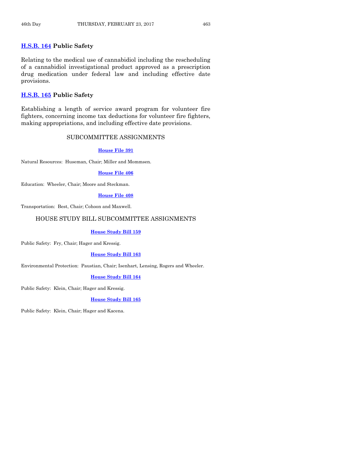#### **[H.S.B. 164](https://www.legis.iowa.gov/legislation/BillBook?ga=87&ba=HSB164) Public Safety**

Relating to the medical use of cannabidiol including the rescheduling of a cannabidiol investigational product approved as a prescription drug medication under federal law and including effective date provisions.

#### **[H.S.B. 165](https://www.legis.iowa.gov/legislation/BillBook?ga=87&ba=HSB165) Public Safety**

Establishing a length of service award program for volunteer fire fighters, concerning income tax deductions for volunteer fire fighters, making appropriations, and including effective date provisions.

#### SUBCOMMITTEE ASSIGNMENTS

#### **[House File](https://www.legis.iowa.gov/legislation/BillBook?ga=87&ba=HF391) 391**

Natural Resources: Huseman, Chair; Miller and Mommsen.

#### **[House File](https://www.legis.iowa.gov/legislation/BillBook?ga=87&ba=HF406) 406**

Education: Wheeler, Chair; Moore and Steckman.

#### **[House File](https://www.legis.iowa.gov/legislation/BillBook?ga=87&ba=HF408) 408**

Transportation: Best, Chair; Cohoon and Maxwell.

#### HOUSE STUDY BILL SUBCOMMITTEE ASSIGNMENTS

#### **[House Study Bill](https://www.legis.iowa.gov/legislation/BillBook?ga=87&ba=HSB159) 159**

Public Safety: Fry, Chair; Hager and Kressig.

#### **[House Study Bill](https://www.legis.iowa.gov/legislation/BillBook?ga=87&ba=HSB163) 163**

Environmental Protection: Paustian, Chair; Isenhart, Lensing, Rogers and Wheeler.

#### **[House Study Bill](https://www.legis.iowa.gov/legislation/BillBook?ga=87&ba=HSB164) 164**

Public Safety: Klein, Chair; Hager and Kressig.

#### **[House Study Bill](https://www.legis.iowa.gov/legislation/BillBook?ga=87&ba=HSB165) 165**

Public Safety: Klein, Chair; Hager and Kacena.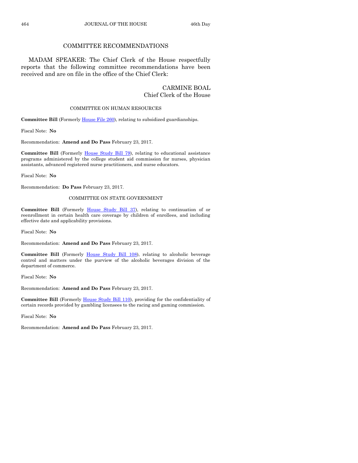#### COMMITTEE RECOMMENDATIONS

MADAM SPEAKER: The Chief Clerk of the House respectfully reports that the following committee recommendations have been received and are on file in the office of the Chief Clerk:

#### CARMINE BOAL Chief Clerk of the House

#### COMMITTEE ON HUMAN RESOURCES

**Committee Bill** (Formerly [House File 260\)](https://www.legis.iowa.gov/legislation/BillBook?ga=87&ba=HF260), relating to subsidized guardianships.

Fiscal Note: **No**

Recommendation: **Amend and Do Pass** February 23, 2017.

**Committee Bill** (Formerly [House Study Bill 79\)](https://www.legis.iowa.gov/legislation/BillBook?ga=87&ba=HSB79), relating to educational assistance programs administered by the college student aid commission for nurses, physician assistants, advanced registered nurse practitioners, and nurse educators.

Fiscal Note: **No**

Recommendation: **Do Pass** February 23, 2017.

#### COMMITTEE ON STATE GOVERNMENT

**Committee Bill** (Formerly [House Study Bill 37\)](https://www.legis.iowa.gov/legislation/BillBook?ga=87&ba=HSB37), relating to continuation of or reenrollment in certain health care coverage by children of enrollees, and including effective date and applicability provisions.

Fiscal Note: **No**

Recommendation: **Amend and Do Pass** February 23, 2017.

**Committee Bill** (Formerly [House Study Bill 108\),](https://www.legis.iowa.gov/legislation/BillBook?ga=87&ba=HSB108) relating to alcoholic beverage control and matters under the purview of the alcoholic beverages division of the department of commerce.

Fiscal Note: **No**

Recommendation: **Amend and Do Pass** February 23, 2017.

**Committee Bill** (Formerly [House Study Bill 110\)](https://www.legis.iowa.gov/legislation/BillBook?ga=87&ba=HSB110), providing for the confidentiality of certain records provided by gambling licensees to the racing and gaming commission.

Fiscal Note: **No**

Recommendation: **Amend and Do Pass** February 23, 2017.